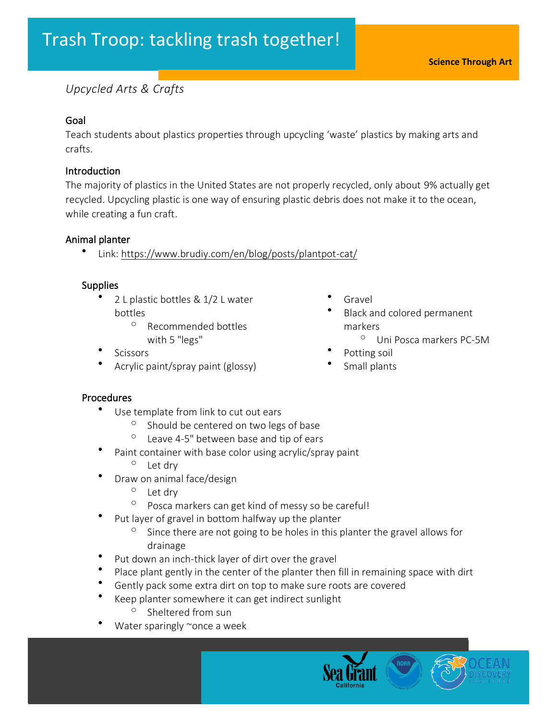# *Upcycled Arts & Crafts*

# Goal

Teach students about plastics properties through upcycling 'waste' plastics by making arts and crafts.

#### Introduction

The majority of plastics in the United States are not properly recycled, only about 9% actually get recycled. Upcycling plastic is one way of ensuring plastic debris does not make it to the ocean, while creating a fun craft.

#### Animal planter

• Link:<https://www.brudiy.com/en/blog/posts/plantpot-cat/>

#### **Supplies**

- 2 L plastic bottles & 1/2 L water bottles
	- <sup>o</sup> Recommended bottles with 5 "legs"
- **Scissors**
- Acrylic paint/spray paint (glossy)
- **Gravel**
- Black and colored permanent markers
	- <sup>o</sup> Uni Posca markers PC-5M
- Potting soil
- Small plants

- Use template from link to cut out ears
	- <sup>o</sup> Should be centered on two legs of base
	- $\degree$  Leave 4-5" between base and tip of ears
- Paint container with base color using acrylic/spray paint <sup>o</sup> Let dry
- Draw on animal face/design
	- <sup>o</sup> Let dry
	- <sup>o</sup> Posca markers can get kind of messy so be careful!
- Put layer of gravel in bottom halfway up the planter
	- $\degree$  Since there are not going to be holes in this planter the gravel allows for drainage
- Put down an inch-thick layer of dirt over the gravel
- Place plant gently in the center of the planter then fill in remaining space with dirt
- Gently pack some extra dirt on top to make sure roots are covered
	- Keep planter somewhere it can get indirect sunlight
		- Sheltered from sun
- Water sparingly  $\sim$ once a week

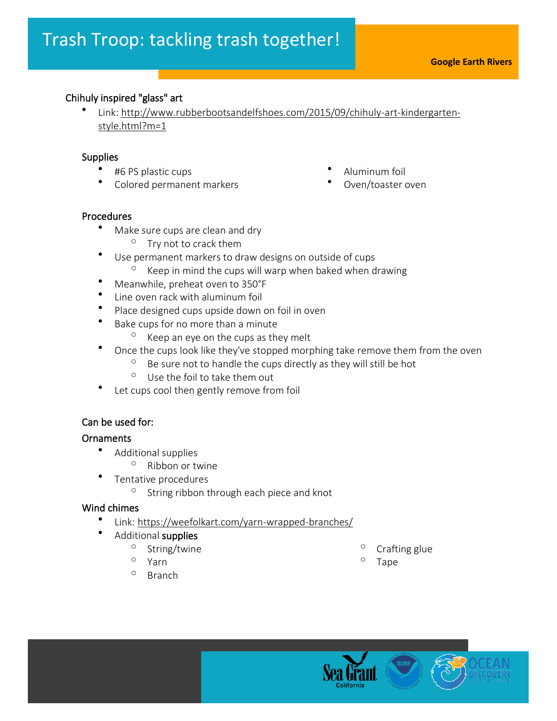# Chihuly inspired "glass" art

• Link: [http://www.rubberbootsandelfshoes.com/2015/09/chihuly-art-kindergarten](http://www.rubberbootsandelfshoes.com/2015/09/chihuly-art-kindergarten-style.html?m=1)[style.html?m=1](http://www.rubberbootsandelfshoes.com/2015/09/chihuly-art-kindergarten-style.html?m=1)

# **Supplies**

Ĩ

- #6 PS plastic cups
- Colored permanent markers

# Procedures

- Make sure cups are clean and dry
	- $\circ$  Try not to crack them
- Use permanent markers to draw designs on outside of cups  $\degree$  Keep in mind the cups will warp when baked when drawing
- Meanwhile, preheat oven to 350°F
- Line oven rack with aluminum foil
- Place designed cups upside down on foil in oven
- Bake cups for no more than a minute
	- $\degree$  Keep an eye on the cups as they melt
- Once the cups look like they've stopped morphing take remove them from the oven
	- $\degree$  Be sure not to handle the cups directly as they will still be hot
	- $\circ$  Use the foil to take them out
- Let cups cool then gently remove from foil

# Can be used for:

# **Ornaments**

- Additional supplies
	- <sup>o</sup> Ribbon or twine
	- Tentative procedures
		- <sup>o</sup> String ribbon through each piece and knot

# Wind chimes

- Link:<https://weefolkart.com/yarn-wrapped-branches/>
	- Additional supplies
		- $\frac{0}{0}$  String/twine
		- Yarn
		- <sup>o</sup> Branch
- $\circ$  Crafting glue
- Tape



- Aluminum foil
- Oven/toaster oven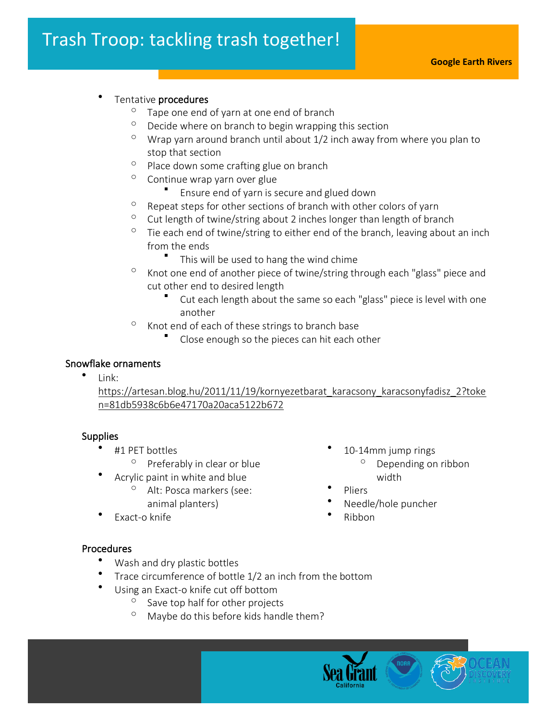# Tentative procedures

in the control of the control of the control of the control of the control of the control of the control of the control of the control of the control of the control of the control of the control of the control of the contr

- $\degree$  Tape one end of yarn at one end of branch
- $\degree$  Decide where on branch to begin wrapping this section
- $\degree$  Wrap yarn around branch until about 1/2 inch away from where you plan to stop that section
- $\degree$  Place down some crafting glue on branch
- $\degree$  Continue wrap yarn over glue
	- Ensure end of yarn is secure and glued down
- $\degree$  Repeat steps for other sections of branch with other colors of yarn
- $\degree$  Cut length of twine/string about 2 inches longer than length of branch
- $\degree$  Tie each end of twine/string to either end of the branch, leaving about an inch from the ends
	- This will be used to hang the wind chime
- $\degree$  Knot one end of another piece of twine/string through each "glass" piece and cut other end to desired length
	- Cut each length about the same so each "glass" piece is level with one another
- $\degree$  Knot end of each of these strings to branch base
	- Close enough so the pieces can hit each other

#### Snowflake ornaments •

Link:

[https://artesan.blog.hu/2011/11/19/kornyezetbarat\\_karacsony\\_karacsonyfadisz\\_2?toke](https://artesan.blog.hu/2011/11/19/kornyezetbarat_karacsony_karacsonyfadisz_2?token=81db5938c6b6e47170a20aca5122b672) [n=81db5938c6b6e47170a20aca5122b672](https://artesan.blog.hu/2011/11/19/kornyezetbarat_karacsony_karacsonyfadisz_2?token=81db5938c6b6e47170a20aca5122b672)

# **Supplies**

- #1 PET bottles
	- <sup>o</sup> Preferably in clear or blue
	- Acrylic paint in white and blue
		- <sup>o</sup> Alt: Posca markers (see: animal planters)
- Exact-o knife
- 10-14mm jump rings
	- <sup>o</sup> Depending on ribbon width
- Pliers
- Needle/hole puncher
- Ribbon

- Wash and dry plastic bottles
- Trace circumference of bottle 1/2 an inch from the bottom
- Using an Exact-o knife cut off bottom
	- $\circ$  Save top half for other projects
	- $\degree$  Maybe do this before kids handle them?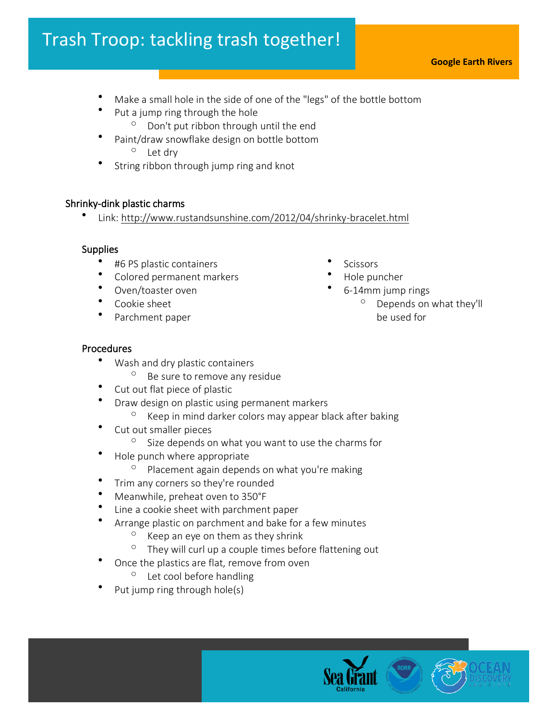# Trash Troop: tackling trash together!

- **Google Earth Rivers**
- Make a small hole in the side of one of the "legs" of the bottle bottom
- Put a jump ring through the hole
	- $\degree$  Don't put ribbon through until the end
- Paint/draw snowflake design on bottle bottom <sup>o</sup> Let dry
- String ribbon through jump ring and knot

# Shrinky-dink plastic charms

• Link:<http://www.rustandsunshine.com/2012/04/shrinky-bracelet.html>

# **Supplies**

- #6 PS plastic containers
- Colored permanent markers
- Oven/toaster oven
- Cookie sheet
- Parchment paper
- **Scissors**
- Hole puncher
- 6-14mm jump rings
	- $^{\circ}$  Depends on what they'll be used for

- Wash and dry plastic containers
	- <sup>o</sup> Be sure to remove any residue
- Cut out flat piece of plastic
- Draw design on plastic using permanent markers
	- $\degree$  Keep in mind darker colors may appear black after baking
- Cut out smaller pieces
	- $\degree$  Size depends on what you want to use the charms for
- Hole punch where appropriate
	- $\degree$  Placement again depends on what you're making
- Trim any corners so they're rounded
- Meanwhile, preheat oven to 350°F
- Line a cookie sheet with parchment paper
- Arrange plastic on parchment and bake for a few minutes
	- $\degree$  Keep an eye on them as they shrink
	- $\degree$  They will curl up a couple times before flattening out
- Once the plastics are flat, remove from oven
	- $\degree$  Let cool before handling
- Put jump ring through hole(s)

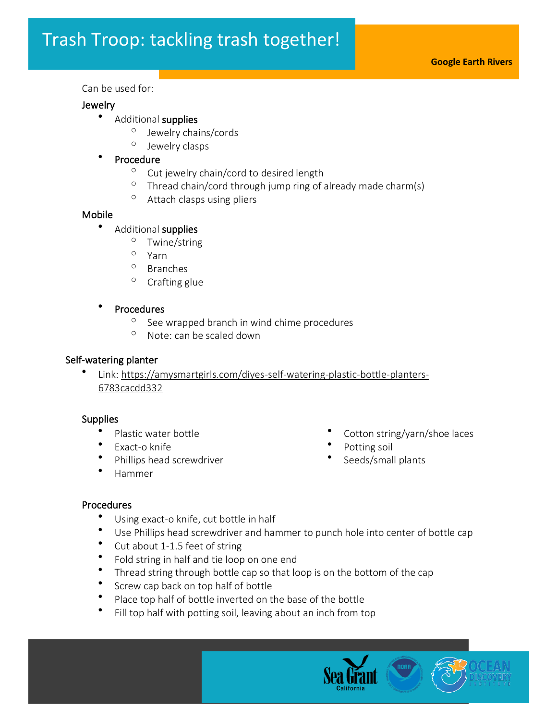#### Can be used for:

#### Jewelry

- Additional supplies
	- <sup>o</sup> Jewelry chains/cords
	- <sup>o</sup> Jewelry clasps

#### **Procedure**

- <sup>o</sup> Cut jewelry chain/cord to desired length
- $\degree$  Thread chain/cord through jump ring of already made charm(s)
- $\circ$  Attach clasps using pliers

#### Mobile

# • Additional supplies

- <sup>o</sup> Twine/string
- <sup>o</sup> Yarn
- <sup>o</sup> Branches
- $\degree$  Crafting glue

#### • Procedures

- $\degree$  See wrapped branch in wind chime procedures
- $\degree$  Note: can be scaled down

#### Self-watering planter

• Link: [https://amysmartgirls.com/diyes-self-watering-plastic-bottle-planters-](https://amysmartgirls.com/diyes-self-watering-plastic-bottle-planters-6783cacdd332)[6783cacdd332](https://amysmartgirls.com/diyes-self-watering-plastic-bottle-planters-6783cacdd332)

#### **Supplies**

- Plastic water bottle
- Exact-o knife
- Phillips head screwdriver
- Hammer
- Cotton string/yarn/shoe laces
- Potting soil
- Seeds/small plants

- Using exact-o knife, cut bottle in half
- Use Phillips head screwdriver and hammer to punch hole into center of bottle cap<br>• Cut about 1.1.5 feet of string
- Cut about 1-1.5 feet of string
- Fold string in half and tie loop on one end
- Thread string through bottle cap so that loop is on the bottom of the cap
- Screw cap back on top half of bottle
- Place top half of bottle inverted on the base of the bottle
- Fill top half with potting soil, leaving about an inch from top